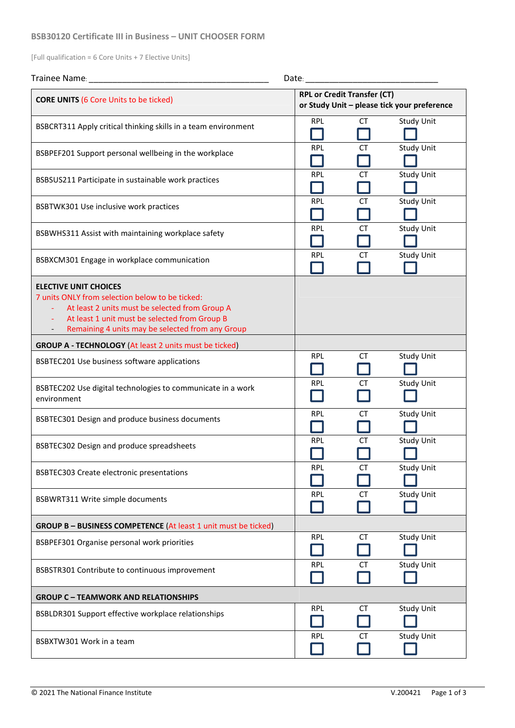## **BSB30120 Certificate III in Business – UNIT CHOOSER FORM**

[Full qualification = 6 Core Units + 7 Elective Units]

| Trainee Name:                                                                                                                                                                                                                                                                | Date: $\_\_$                                                                      |           |                   |  |
|------------------------------------------------------------------------------------------------------------------------------------------------------------------------------------------------------------------------------------------------------------------------------|-----------------------------------------------------------------------------------|-----------|-------------------|--|
| <b>CORE UNITS (6 Core Units to be ticked)</b>                                                                                                                                                                                                                                | <b>RPL or Credit Transfer (CT)</b><br>or Study Unit - please tick your preference |           |                   |  |
| BSBCRT311 Apply critical thinking skills in a team environment                                                                                                                                                                                                               | <b>RPL</b>                                                                        | CT        | <b>Study Unit</b> |  |
| BSBPEF201 Support personal wellbeing in the workplace                                                                                                                                                                                                                        | <b>RPL</b>                                                                        | <b>CT</b> | <b>Study Unit</b> |  |
| BSBSUS211 Participate in sustainable work practices                                                                                                                                                                                                                          | <b>RPL</b>                                                                        | <b>CT</b> | <b>Study Unit</b> |  |
| BSBTWK301 Use inclusive work practices                                                                                                                                                                                                                                       | <b>RPL</b>                                                                        | <b>CT</b> | <b>Study Unit</b> |  |
| BSBWHS311 Assist with maintaining workplace safety                                                                                                                                                                                                                           | <b>RPL</b>                                                                        | <b>CT</b> | <b>Study Unit</b> |  |
| BSBXCM301 Engage in workplace communication                                                                                                                                                                                                                                  | <b>RPL</b>                                                                        | <b>CT</b> | <b>Study Unit</b> |  |
| <b>ELECTIVE UNIT CHOICES</b><br>7 units ONLY from selection below to be ticked:<br>At least 2 units must be selected from Group A<br>At least 1 unit must be selected from Group B<br>$\sim$<br>Remaining 4 units may be selected from any Group<br>$\overline{\phantom{a}}$ |                                                                                   |           |                   |  |
| GROUP A - TECHNOLOGY (At least 2 units must be ticked)                                                                                                                                                                                                                       |                                                                                   |           |                   |  |
| BSBTEC201 Use business software applications                                                                                                                                                                                                                                 | <b>RPL</b>                                                                        | CT        | <b>Study Unit</b> |  |
| BSBTEC202 Use digital technologies to communicate in a work<br>environment                                                                                                                                                                                                   | <b>RPL</b>                                                                        | СT        | <b>Study Unit</b> |  |
| BSBTEC301 Design and produce business documents                                                                                                                                                                                                                              | <b>RPL</b>                                                                        | CT        | <b>Study Unit</b> |  |
| BSBTEC302 Design and produce spreadsheets                                                                                                                                                                                                                                    | <b>RPL</b>                                                                        | СT        | <b>Study Unit</b> |  |
| <b>BSBTEC303 Create electronic presentations</b>                                                                                                                                                                                                                             | <b>RPL</b>                                                                        | СT        | <b>Study Unit</b> |  |
| BSBWRT311 Write simple documents                                                                                                                                                                                                                                             | <b>RPL</b>                                                                        | CT.       | <b>Study Unit</b> |  |
| GROUP B - BUSINESS COMPETENCE (At least 1 unit must be ticked)                                                                                                                                                                                                               |                                                                                   |           |                   |  |
| BSBPEF301 Organise personal work priorities                                                                                                                                                                                                                                  | <b>RPL</b>                                                                        | CT        | <b>Study Unit</b> |  |
| BSBSTR301 Contribute to continuous improvement                                                                                                                                                                                                                               | <b>RPL</b>                                                                        | CT.       | <b>Study Unit</b> |  |
| <b>GROUP C - TEAMWORK AND RELATIONSHIPS</b>                                                                                                                                                                                                                                  |                                                                                   |           |                   |  |
| BSBLDR301 Support effective workplace relationships                                                                                                                                                                                                                          | <b>RPL</b>                                                                        | CT        | <b>Study Unit</b> |  |
| BSBXTW301 Work in a team                                                                                                                                                                                                                                                     | <b>RPL</b>                                                                        | <b>CT</b> | <b>Study Unit</b> |  |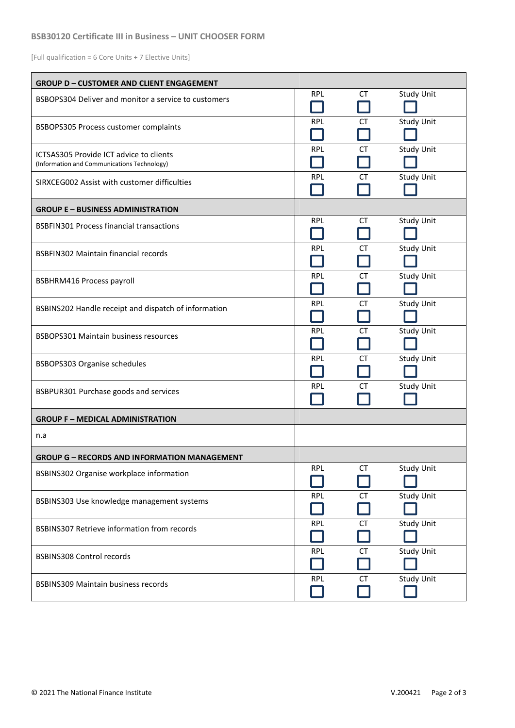[Full qualification = 6 Core Units + 7 Elective Units]

| <b>GROUP D - CUSTOMER AND CLIENT ENGAGEMENT</b>                                        |            |           |                   |
|----------------------------------------------------------------------------------------|------------|-----------|-------------------|
| BSBOPS304 Deliver and monitor a service to customers                                   | <b>RPL</b> | CT        | <b>Study Unit</b> |
| <b>BSBOPS305 Process customer complaints</b>                                           | <b>RPL</b> | <b>CT</b> | <b>Study Unit</b> |
| ICTSAS305 Provide ICT advice to clients<br>(Information and Communications Technology) | <b>RPL</b> | <b>CT</b> | <b>Study Unit</b> |
| SIRXCEG002 Assist with customer difficulties                                           | <b>RPL</b> | CT        | <b>Study Unit</b> |
| <b>GROUP E - BUSINESS ADMINISTRATION</b>                                               |            |           |                   |
| <b>BSBFIN301 Process financial transactions</b>                                        | <b>RPL</b> | <b>CT</b> | <b>Study Unit</b> |
| <b>BSBFIN302 Maintain financial records</b>                                            | <b>RPL</b> | <b>CT</b> | <b>Study Unit</b> |
| <b>BSBHRM416 Process payroll</b>                                                       | <b>RPL</b> | <b>CT</b> | <b>Study Unit</b> |
| BSBINS202 Handle receipt and dispatch of information                                   | <b>RPL</b> | <b>CT</b> | <b>Study Unit</b> |
| <b>BSBOPS301 Maintain business resources</b>                                           | <b>RPL</b> | <b>CT</b> | <b>Study Unit</b> |
| BSBOPS303 Organise schedules                                                           | RPL        | CT        | <b>Study Unit</b> |
| BSBPUR301 Purchase goods and services                                                  | <b>RPL</b> | <b>CT</b> | <b>Study Unit</b> |
| <b>GROUP F - MEDICAL ADMINISTRATION</b>                                                |            |           |                   |
| n.a                                                                                    |            |           |                   |
| <b>GROUP G – RECORDS AND INFORMATION MANAGEMENT</b>                                    |            |           |                   |
| BSBINS302 Organise workplace information                                               | <b>RPL</b> | СT        | <b>Study Unit</b> |
| BSBINS303 Use knowledge management systems                                             | <b>RPL</b> | <b>CT</b> | <b>Study Unit</b> |
| <b>BSBINS307 Retrieve information from records</b>                                     | RPL        | CT        | <b>Study Unit</b> |
| <b>BSBINS308 Control records</b>                                                       | <b>RPL</b> | <b>CT</b> | <b>Study Unit</b> |
| <b>BSBINS309 Maintain business records</b>                                             | <b>RPL</b> | CT        | <b>Study Unit</b> |